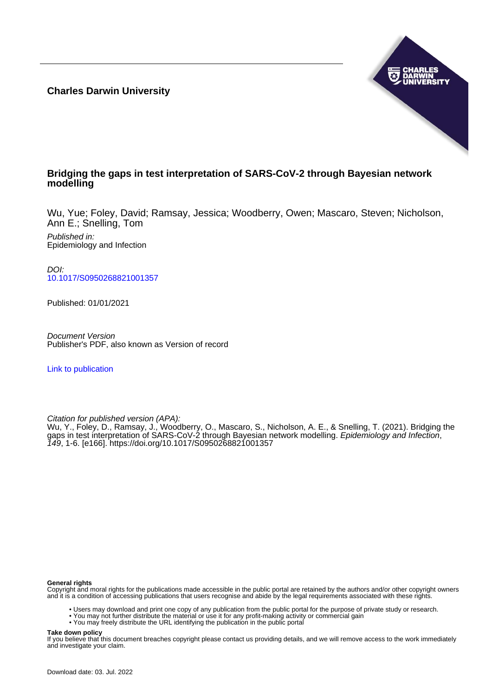**Charles Darwin University**



# **Bridging the gaps in test interpretation of SARS-CoV-2 through Bayesian network modelling**

Wu, Yue; Foley, David; Ramsay, Jessica; Woodberry, Owen; Mascaro, Steven; Nicholson, Ann E.; Snelling, Tom

Published in: Epidemiology and Infection

DOI: [10.1017/S0950268821001357](https://doi.org/10.1017/S0950268821001357)

Published: 01/01/2021

Document Version Publisher's PDF, also known as Version of record

[Link to publication](https://researchers.cdu.edu.au/en/publications/a786993c-37fd-462b-b378-f161ef6e8be8)

Citation for published version (APA):

Wu, Y., Foley, D., Ramsay, J., Woodberry, O., Mascaro, S., Nicholson, A. E., & Snelling, T. (2021). Bridging the gaps in test interpretation of SARS-CoV-2 through Bayesian network modelling. Epidemiology and Infection, 149, 1-6. [e166]. <https://doi.org/10.1017/S0950268821001357>

#### **General rights**

Copyright and moral rights for the publications made accessible in the public portal are retained by the authors and/or other copyright owners and it is a condition of accessing publications that users recognise and abide by the legal requirements associated with these rights.

- Users may download and print one copy of any publication from the public portal for the purpose of private study or research.
- You may not further distribute the material or use it for any profit-making activity or commercial gain
- You may freely distribute the URL identifying the publication in the public portal

#### **Take down policy**

If you believe that this document breaches copyright please contact us providing details, and we will remove access to the work immediately and investigate your claim.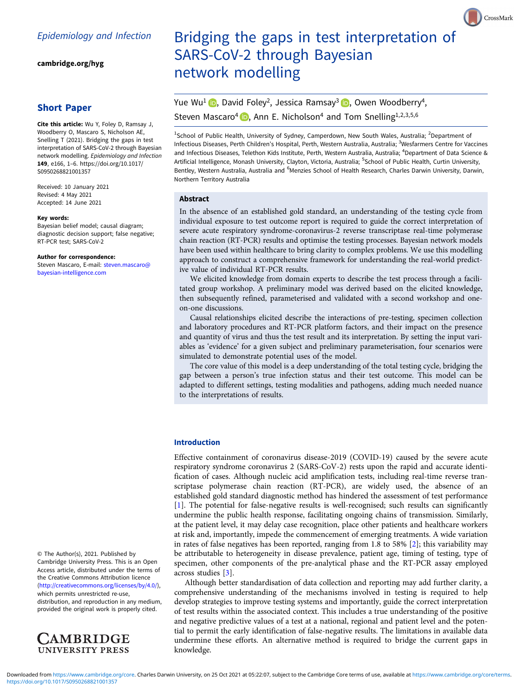[cambridge.org/hyg](https://www.cambridge.org/hyg)

# Short Paper

Cite this article: Wu Y, Foley D, Ramsay J, Woodberry O, Mascaro S, Nicholson AE, Snelling T (2021). Bridging the gaps in test interpretation of SARS-CoV-2 through Bayesian network modelling. Epidemiology and Infection 149, e166, 1–6. [https://doi.org/10.1017/](https://doi.org/10.1017/S0950268821001357) [S0950268821001357](https://doi.org/10.1017/S0950268821001357)

Received: 10 January 2021 Revised: 4 May 2021 Accepted: 14 June 2021

#### Key words:

Bayesian belief model; causal diagram; diagnostic decision support; false negative; RT-PCR test; SARS-CoV-2

#### Author for correspondence:

Steven Mascaro, E-mail: [steven.mascaro@](mailto:steven.mascaro@bayesian-intelligence.com) [bayesian-intelligence.com](mailto:steven.mascaro@bayesian-intelligence.com)

© The Author(s), 2021. Published by Cambridge University Press. This is an Open Access article, distributed under the terms of the Creative Commons Attribution licence ([http://creativecommons.org/licenses/by/4.0/\)](http://creativecommons.org/licenses/by/4.0/),

which permits unrestricted re-use, distribution, and reproduction in any medium, provided the original work is properly cited.



# Bridging the gaps in test interpretation of SARS-CoV-2 through Bayesian network modelling

CrossMark

# Yue Wu<sup>1</sup>  $\bullet$ [,](https://orcid.org/0000-0003-4005-9886) David Foley<sup>2</sup>, Jessica Ramsay<sup>3</sup>  $\bullet$ , Owen Woodberry<sup>4</sup>, Steven Mascaro<sup>4</sup> **D**, Ann E. Nicholson<sup>4</sup> and Tom Snelling<sup>1,2,3,5,6</sup>

<sup>1</sup>School of Public Health, University of Sydney, Camperdown, New South Wales, Australia; <sup>2</sup>Department of Infectious Diseases, Perth Children's Hospital, Perth, Western Australia, Australia; <sup>3</sup>Wesfarmers Centre for Vaccines and Infectious Diseases, Telethon Kids Institute, Perth, Western Australia, Australia; <sup>4</sup>Department of Data Science & Artificial Intelligence, Monash University, Clayton, Victoria, Australia; <sup>5</sup>School of Public Health, Curtin University Bentley, Western Australia, Australia and <sup>6</sup>Menzies School of Health Research, Charles Darwin University, Darwin, Northern Territory Australia

#### Abstract

In the absence of an established gold standard, an understanding of the testing cycle from individual exposure to test outcome report is required to guide the correct interpretation of severe acute respiratory syndrome-coronavirus-2 reverse transcriptase real-time polymerase chain reaction (RT-PCR) results and optimise the testing processes. Bayesian network models have been used within healthcare to bring clarity to complex problems. We use this modelling approach to construct a comprehensive framework for understanding the real-world predictive value of individual RT-PCR results.

We elicited knowledge from domain experts to describe the test process through a facilitated group workshop. A preliminary model was derived based on the elicited knowledge, then subsequently refined, parameterised and validated with a second workshop and oneon-one discussions.

Causal relationships elicited describe the interactions of pre-testing, specimen collection and laboratory procedures and RT-PCR platform factors, and their impact on the presence and quantity of virus and thus the test result and its interpretation. By setting the input variables as 'evidence' for a given subject and preliminary parameterisation, four scenarios were simulated to demonstrate potential uses of the model.

The core value of this model is a deep understanding of the total testing cycle, bridging the gap between a person's true infection status and their test outcome. This model can be adapted to different settings, testing modalities and pathogens, adding much needed nuance to the interpretations of results.

## Introduction

Effective containment of coronavirus disease-2019 (COVID-19) caused by the severe acute respiratory syndrome coronavirus 2 (SARS-CoV-2) rests upon the rapid and accurate identification of cases. Although nucleic acid amplification tests, including real-time reverse transcriptase polymerase chain reaction (RT-PCR), are widely used, the absence of an established gold standard diagnostic method has hindered the assessment of test performance [[1](#page-6-0)]. The potential for false-negative results is well-recognised; such results can significantly undermine the public health response, facilitating ongoing chains of transmission. Similarly, at the patient level, it may delay case recognition, place other patients and healthcare workers at risk and, importantly, impede the commencement of emerging treatments. A wide variation in rates of false negatives has been reported, ranging from 1.8 to 58% [\[2\]](#page-6-0); this variability may be attributable to heterogeneity in disease prevalence, patient age, timing of testing, type of specimen, other components of the pre-analytical phase and the RT-PCR assay employed across studies [[3](#page-6-0)].

Although better standardisation of data collection and reporting may add further clarity, a comprehensive understanding of the mechanisms involved in testing is required to help develop strategies to improve testing systems and importantly, guide the correct interpretation of test results within the associated context. This includes a true understanding of the positive and negative predictive values of a test at a national, regional and patient level and the potential to permit the early identification of false-negative results. The limitations in available data undermine these efforts. An alternative method is required to bridge the current gaps in knowledge.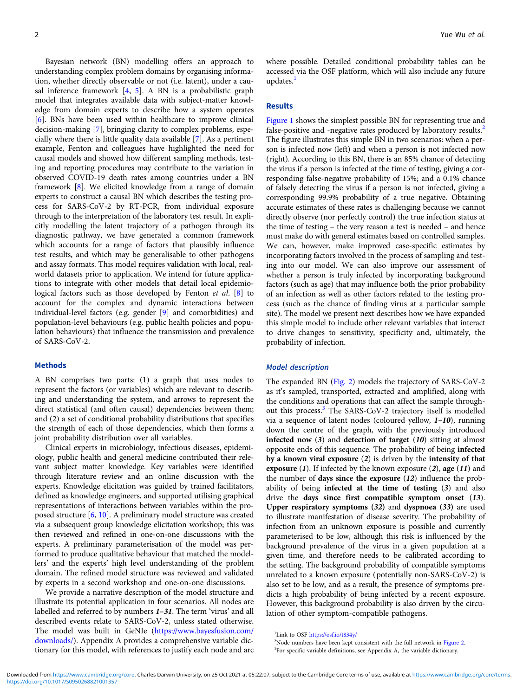Bayesian network (BN) modelling offers an approach to understanding complex problem domains by organising information, whether directly observable or not (i.e. latent), under a causal inference framework [[4](#page-6-0), [5](#page-6-0)]. A BN is a probabilistic graph model that integrates available data with subject-matter knowledge from domain experts to describe how a system operates [[6\]](#page-6-0). BNs have been used within healthcare to improve clinical decision-making [[7\]](#page-6-0), bringing clarity to complex problems, especially where there is little quality data available [\[7](#page-6-0)]. As a pertinent example, Fenton and colleagues have highlighted the need for causal models and showed how different sampling methods, testing and reporting procedures may contribute to the variation in observed COVID-19 death rates among countries under a BN framework [[8](#page-6-0)]. We elicited knowledge from a range of domain experts to construct a causal BN which describes the testing process for SARS-CoV-2 by RT-PCR, from individual exposure through to the interpretation of the laboratory test result. In explicitly modelling the latent trajectory of a pathogen through its diagnostic pathway, we have generated a common framework which accounts for a range of factors that plausibly influence test results, and which may be generalisable to other pathogens and assay formats. This model requires validation with local, realworld datasets prior to application. We intend for future applications to integrate with other models that detail local epidemio-logical factors such as those developed by Fenton et al. [\[8\]](#page-6-0) to account for the complex and dynamic interactions between individual-level factors (e.g. gender [[9\]](#page-6-0) and comorbidities) and population-level behaviours (e.g. public health policies and population behaviours) that influence the transmission and prevalence of SARS-CoV-2.

# Methods

A BN comprises two parts: (1) a graph that uses nodes to represent the factors (or variables) which are relevant to describing and understanding the system, and arrows to represent the direct statistical (and often causal) dependencies between them; and (2) a set of conditional probability distributions that specifies the strength of each of those dependencies, which then forms a joint probability distribution over all variables.

Clinical experts in microbiology, infectious diseases, epidemiology, public health and general medicine contributed their relevant subject matter knowledge. Key variables were identified through literature review and an online discussion with the experts. Knowledge elicitation was guided by trained facilitators, defined as knowledge engineers, and supported utilising graphical representations of interactions between variables within the proposed structure [\[6,](#page-6-0) [10](#page-6-0)]. A preliminary model structure was created via a subsequent group knowledge elicitation workshop; this was then reviewed and refined in one-on-one discussions with the experts. A preliminary parameterisation of the model was performed to produce qualitative behaviour that matched the modellers' and the experts' high level understanding of the problem domain. The refined model structure was reviewed and validated by experts in a second workshop and one-on-one discussions.

We provide a narrative description of the model structure and illustrate its potential application in four scenarios. All nodes are labelled and referred to by numbers 1–31. The term 'virus' and all described events relate to SARS-CoV-2, unless stated otherwise. The model was built in GeNIe ([https://www.bayesfusion.com/](https://www.bayesfusion.com/downloads/) [downloads/\)](https://www.bayesfusion.com/downloads/). Appendix A provides a comprehensive variable dictionary for this model, with references to justify each node and arc where possible. Detailed conditional probability tables can be accessed via the OSF platform, which will also include any future updates.<sup>1</sup>

#### Results

[Figure 1](#page-3-0) shows the simplest possible BN for representing true and false-positive and -negative rates produced by laboratory results.<sup>2</sup> The figure illustrates this simple BN in two scenarios: when a person is infected now (left) and when a person is not infected now (right). According to this BN, there is an 85% chance of detecting the virus if a person is infected at the time of testing, giving a corresponding false-negative probability of 15%; and a 0.1% chance of falsely detecting the virus if a person is not infected, giving a corresponding 99.9% probability of a true negative. Obtaining accurate estimates of these rates is challenging because we cannot directly observe (nor perfectly control) the true infection status at the time of testing – the very reason a test is needed – and hence must make do with general estimates based on controlled samples. We can, however, make improved case-specific estimates by incorporating factors involved in the process of sampling and testing into our model. We can also improve our assessment of whether a person is truly infected by incorporating background factors (such as age) that may influence both the prior probability of an infection as well as other factors related to the testing process (such as the chance of finding virus at a particular sample site). The model we present next describes how we have expanded this simple model to include other relevant variables that interact to drive changes to sensitivity, specificity and, ultimately, the probability of infection.

# Model description

The expanded BN ([Fig. 2](#page-4-0)) models the trajectory of SARS-CoV-2 as it's sampled, transported, extracted and amplified, along with the conditions and operations that can affect the sample throughout this process.<sup>3</sup> The SARS-CoV-2 trajectory itself is modelled via a sequence of latent nodes (coloured yellow, 1–10), running down the centre of the graph, with the previously introduced infected now  $(3)$  and detection of target  $(10)$  sitting at almost opposite ends of this sequence. The probability of being infected by a known viral exposure (2) is driven by the intensity of that exposure  $(1)$ . If infected by the known exposure  $(2)$ , age  $(11)$  and the number of days since the exposure  $(12)$  influence the probability of being infected at the time of testing (3) and also drive the days since first compatible symptom onset (13). Upper respiratory symptoms (32) and dyspnoea (33) are used to illustrate manifestation of disease severity. The probability of infection from an unknown exposure is possible and currently parameterised to be low, although this risk is influenced by the background prevalence of the virus in a given population at a given time, and therefore needs to be calibrated according to the setting. The background probability of compatible symptoms unrelated to a known exposure (potentially non-SARS-CoV-2) is also set to be low, and as a result, the presence of symptoms predicts a high probability of being infected by a recent exposure. However, this background probability is also driven by the circulation of other symptom-compatible pathogens.

<sup>&</sup>lt;sup>1</sup>Link to OSF <https://osf.io/t834y/>

<sup>&</sup>lt;sup>2</sup>Node numbers have been kept consistent with the full network in [Figure 2.](#page-4-0)

<sup>&</sup>lt;sup>3</sup>For specific variable definitions, see Appendix A, the variable dictionary.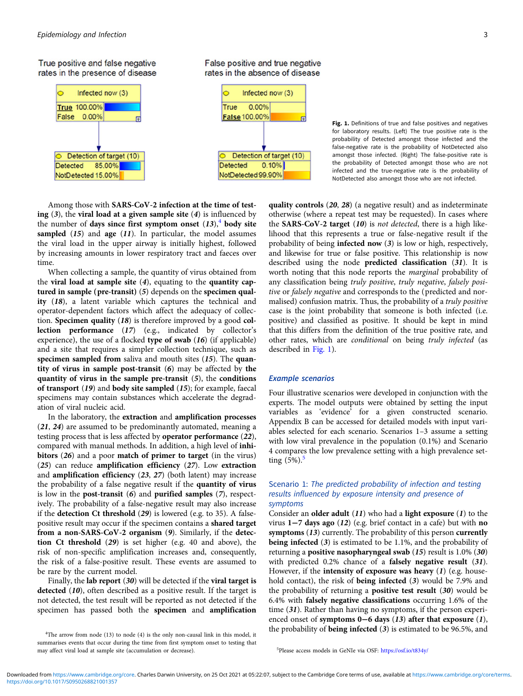<span id="page-3-0"></span>True positive and false negative rates in the presence of disease



False positive and true negative

rates in the absence of disease

Fig. 1. Definitions of true and false positives and negatives for laboratory results. (Left) The true positive rate is the probability of Detected amongst those infected and the false-negative rate is the probability of NotDetected also amongst those infected. (Right) The false-positive rate is the probability of Detected amongst those who are not infected and the true-negative rate is the probability of NotDetected also amongst those who are not infected.

Among those with SARS-CoV-2 infection at the time of testing  $(3)$ , the viral load at a given sample site  $(4)$  is influenced by the number of days since first symptom onset  $(13)$ ,<sup>4</sup> body site sampled  $(15)$  and age  $(11)$ . In particular, the model assumes the viral load in the upper airway is initially highest, followed by increasing amounts in lower respiratory tract and faeces over time.

When collecting a sample, the quantity of virus obtained from the viral load at sample site  $(4)$ , equating to the quantity captured in sample (pre-transit) (5) depends on the specimen quality (18), a latent variable which captures the technical and operator-dependent factors which affect the adequacy of collection. Specimen quality (18) is therefore improved by a good collection performance (17) (e.g., indicated by collector's experience), the use of a flocked type of swab  $(16)$  (if applicable) and a site that requires a simpler collection technique, such as specimen sampled from saliva and mouth sites (15). The quantity of virus in sample post-transit (6) may be affected by the quantity of virus in the sample pre-transit (5), the conditions of transport (19) and body site sampled (15); for example, faecal specimens may contain substances which accelerate the degradation of viral nucleic acid.

In the laboratory, the extraction and amplification processes (21, 24) are assumed to be predominantly automated, meaning a testing process that is less affected by operator performance (22), compared with manual methods. In addition, a high level of inhibitors (26) and a poor match of primer to target (in the virus) (25) can reduce amplification efficiency (27). Low extraction and amplification efficiency (23, 27) (both latent) may increase the probability of a false negative result if the quantity of virus is low in the post-transit (6) and purified samples (7), respectively. The probability of a false-negative result may also increase if the detection Ct threshold (29) is lowered (e.g. to 35). A falsepositive result may occur if the specimen contains a shared target from a non-SARS-CoV-2 organism (9). Similarly, if the detection Ct threshold (29) is set higher (e.g. 40 and above), the risk of non-specific amplification increases and, consequently, the risk of a false-positive result. These events are assumed to be rare by the current model.

Finally, the lab report (30) will be detected if the viral target is detected (10), often described as a positive result. If the target is not detected, the test result will be reported as not detected if the specimen has passed both the specimen and amplification

quality controls (20, 28) (a negative result) and as indeterminate otherwise (where a repeat test may be requested). In cases where the SARS-CoV-2 target  $(10)$  is not detected, there is a high likelihood that this represents a true or false-negative result if the probability of being infected now (3) is low or high, respectively, and likewise for true or false positive. This relationship is now described using the node predicted classification (31). It is worth noting that this node reports the marginal probability of any classification being truly positive, truly negative, falsely positive or falsely negative and corresponds to the (predicted and normalised) confusion matrix. Thus, the probability of a truly positive case is the joint probability that someone is both infected (i.e. positive) and classified as positive. It should be kept in mind that this differs from the definition of the true positive rate, and other rates, which are conditional on being truly infected (as described in Fig. 1).

# Example scenarios

Four illustrative scenarios were developed in conjunction with the experts. The model outputs were obtained by setting the input variables as 'evidence' for a given constructed scenario. Appendix B can be accessed for detailed models with input variables selected for each scenario. Scenarios 1–3 assume a setting with low viral prevalence in the population (0.1%) and Scenario 4 compares the low prevalence setting with a high prevalence setting  $(5%)$ .

# Scenario 1: The predicted probability of infection and testing results influenced by exposure intensity and presence of symptoms

Consider an **older adult**  $(11)$  who had a **light exposure**  $(1)$  to the virus 1−7 days ago (12) (e.g. brief contact in a cafe) but with no symptoms (13) currently. The probability of this person currently being infected (3) is estimated to be 1.1%, and the probability of returning a positive nasopharyngeal swab (15) result is 1.0% (30) with predicted 0.2% chance of a falsely negative result (31). However, if the intensity of exposure was heavy (1) (e.g. household contact), the risk of being infected (3) would be 7.9% and the probability of returning a positive test result (30) would be 6.4% with falsely negative classifications occurring 1.6% of the time (31). Rather than having no symptoms, if the person experienced onset of symptoms 0−6 days (13) after that exposure (1), the probability of being infected (3) is estimated to be 96.5%, and

<sup>&</sup>lt;sup>4</sup>The arrow from node (13) to node (4) is the only non-causal link in this model, it summarises events that occur during the time from first symptom onset to testing that may affect viral load at sample site (accumulation or decrease). <sup>5</sup>

<sup>&</sup>lt;sup>5</sup>Please access models in GeNIe via OSF: <https://osf.io/t834y/>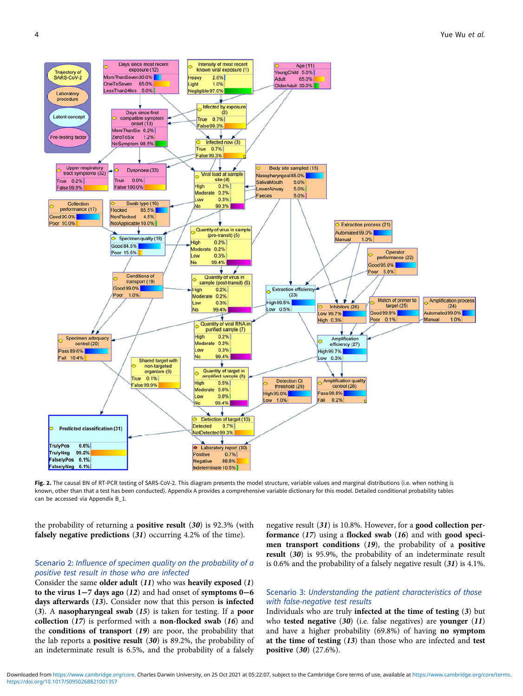<span id="page-4-0"></span>

Fig. 2. The causal BN of RT-PCR testing of SARS-CoV-2. This diagram presents the model structure, variable values and marginal distributions (i.e. when nothing is known, other than that a test has been conducted). Appendix A provides a comprehensive variable dictionary for this model. Detailed conditional probability tables can be accessed via Appendix B\_1.

the probability of returning a **positive result**  $(30)$  is 92.3% (with falsely negative predictions (31) occurring 4.2% of the time).

# Scenario 2: Influence of specimen quality on the probability of a positive test result in those who are infected

Consider the same older adult  $(11)$  who was heavily exposed  $(1)$ to the virus 1−7 days ago (12) and had onset of symptoms 0−6 days afterwards (13). Consider now that this person is infected (3). A nasopharyngeal swab (15) is taken for testing. If a poor collection  $(17)$  is performed with a non-flocked swab  $(16)$  and the conditions of transport (19) are poor, the probability that the lab reports a **positive result**  $(30)$  is 89.2%, the probability of an indeterminate result is 6.5%, and the probability of a falsely negative result (31) is 10.8%. However, for a good collection performance (17) using a flocked swab (16) and with good specimen transport conditions (19), the probability of a positive result (30) is 95.9%, the probability of an indeterminate result is 0.6% and the probability of a falsely negative result (31) is 4.1%.

# Scenario 3: Understanding the patient characteristics of those with false-negative test results

Individuals who are truly infected at the time of testing (3) but who tested negative  $(30)$  (i.e. false negatives) are younger  $(11)$ and have a higher probability (69.8%) of having no symptom at the time of testing  $(13)$  than those who are infected and test positive (30) (27.6%).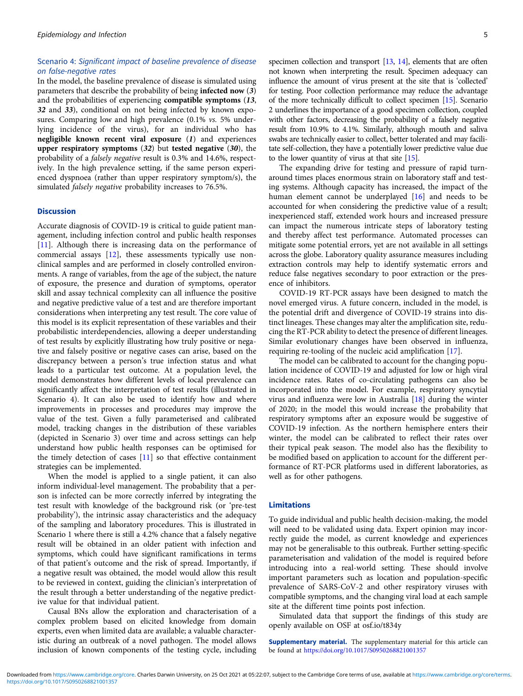# Scenario 4: Significant impact of baseline prevalence of disease on false-negative rates

In the model, the baseline prevalence of disease is simulated using parameters that describe the probability of being infected now (3) and the probabilities of experiencing compatible symptoms (13, 32 and 33), conditional on not being infected by known exposures. Comparing low and high prevalence (0.1% *vs.* 5% underlying incidence of the virus), for an individual who has negligible known recent viral exposure (1) and experiences upper respiratory symptoms (32) but tested negative (30), the probability of a falsely negative result is 0.3% and 14.6%, respectively. In the high prevalence setting, if the same person experienced dyspnoea (rather than upper respiratory symptom/s), the simulated falsely negative probability increases to 76.5%.

### Discussion

Accurate diagnosis of COVID-19 is critical to guide patient management, including infection control and public health responses [[11\]](#page-6-0). Although there is increasing data on the performance of commercial assays [[12\]](#page-6-0), these assessments typically use nonclinical samples and are performed in closely controlled environments. A range of variables, from the age of the subject, the nature of exposure, the presence and duration of symptoms, operator skill and assay technical complexity can all influence the positive and negative predictive value of a test and are therefore important considerations when interpreting any test result. The core value of this model is its explicit representation of these variables and their probabilistic interdependencies, allowing a deeper understanding of test results by explicitly illustrating how truly positive or negative and falsely positive or negative cases can arise, based on the discrepancy between a person's true infection status and what leads to a particular test outcome. At a population level, the model demonstrates how different levels of local prevalence can significantly affect the interpretation of test results (illustrated in Scenario 4). It can also be used to identify how and where improvements in processes and procedures may improve the value of the test. Given a fully parameterised and calibrated model, tracking changes in the distribution of these variables (depicted in Scenario 3) over time and across settings can help understand how public health responses can be optimised for the timely detection of cases [\[11](#page-6-0)] so that effective containment strategies can be implemented.

When the model is applied to a single patient, it can also inform individual-level management. The probability that a person is infected can be more correctly inferred by integrating the test result with knowledge of the background risk (or 'pre-test probability'), the intrinsic assay characteristics and the adequacy of the sampling and laboratory procedures. This is illustrated in Scenario 1 where there is still a 4.2% chance that a falsely negative result will be obtained in an older patient with infection and symptoms, which could have significant ramifications in terms of that patient's outcome and the risk of spread. Importantly, if a negative result was obtained, the model would allow this result to be reviewed in context, guiding the clinician's interpretation of the result through a better understanding of the negative predictive value for that individual patient.

Causal BNs allow the exploration and characterisation of a complex problem based on elicited knowledge from domain experts, even when limited data are available; a valuable characteristic during an outbreak of a novel pathogen. The model allows inclusion of known components of the testing cycle, including specimen collection and transport [\[13,](#page-6-0) [14\]](#page-6-0), elements that are often not known when interpreting the result. Specimen adequacy can influence the amount of virus present at the site that is 'collected' for testing. Poor collection performance may reduce the advantage of the more technically difficult to collect specimen [\[15\]](#page-6-0). Scenario 2 underlines the importance of a good specimen collection, coupled with other factors, decreasing the probability of a falsely negative result from 10.9% to 4.1%. Similarly, although mouth and saliva swabs are technically easier to collect, better tolerated and may facilitate self-collection, they have a potentially lower predictive value due to the lower quantity of virus at that site [\[15\]](#page-6-0).

The expanding drive for testing and pressure of rapid turnaround times places enormous strain on laboratory staff and testing systems. Although capacity has increased, the impact of the human element cannot be underplayed [\[16](#page-6-0)] and needs to be accounted for when considering the predictive value of a result; inexperienced staff, extended work hours and increased pressure can impact the numerous intricate steps of laboratory testing and thereby affect test performance. Automated processes can mitigate some potential errors, yet are not available in all settings across the globe. Laboratory quality assurance measures including extraction controls may help to identify systematic errors and reduce false negatives secondary to poor extraction or the presence of inhibitors.

COVID-19 RT-PCR assays have been designed to match the novel emerged virus. A future concern, included in the model, is the potential drift and divergence of COVID-19 strains into distinct lineages. These changes may alter the amplification site, reducing the RT-PCR ability to detect the presence of different lineages. Similar evolutionary changes have been observed in influenza, requiring re-tooling of the nucleic acid amplification [\[17](#page-6-0)].

The model can be calibrated to account for the changing population incidence of COVID-19 and adjusted for low or high viral incidence rates. Rates of co-circulating pathogens can also be incorporated into the model. For example, respiratory syncytial virus and influenza were low in Australia [\[18](#page-6-0)] during the winter of 2020; in the model this would increase the probability that respiratory symptoms after an exposure would be suggestive of COVID-19 infection. As the northern hemisphere enters their winter, the model can be calibrated to reflect their rates over their typical peak season. The model also has the flexibility to be modified based on application to account for the different performance of RT-PCR platforms used in different laboratories, as well as for other pathogens.

#### Limitations

To guide individual and public health decision-making, the model will need to be validated using data. Expert opinion may incorrectly guide the model, as current knowledge and experiences may not be generalisable to this outbreak. Further setting-specific parameterisation and validation of the model is required before introducing into a real-world setting. These should involve important parameters such as location and population-specific prevalence of SARS-CoV-2 and other respiratory viruses with compatible symptoms, and the changing viral load at each sample site at the different time points post infection.

Simulated data that support the findings of this study are openly available on OSF at osf.io/t834y

Supplementary material. The supplementary material for this article can be found at <https://doi.org/10.1017/S0950268821001357>